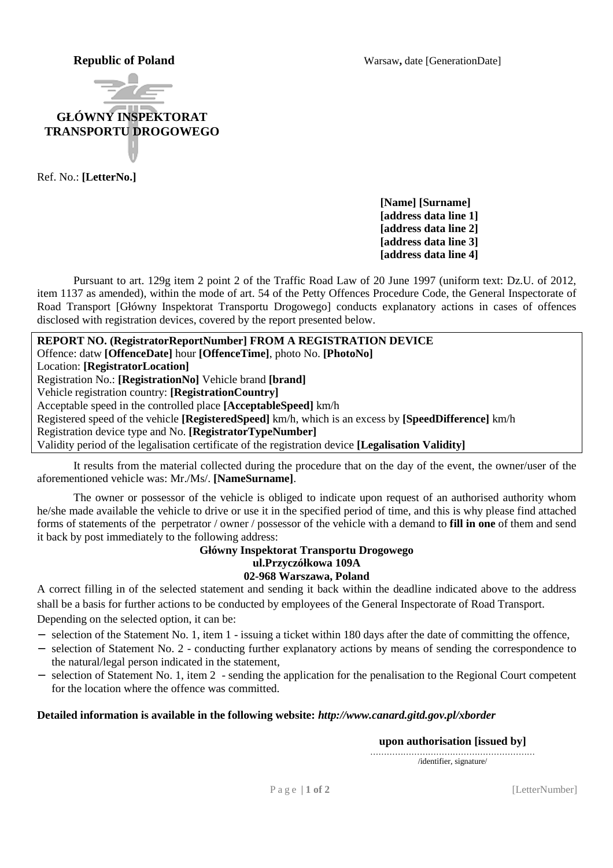**Republic of Poland** Warsaw, date [GenerationDate]



Ref. No.: **[LetterNo.]**

**[Name] [Surname] [address data line 1] [address data line 2] [address data line 3] [address data line 4]** 

Pursuant to art. 129g item 2 point 2 of the Traffic Road Law of 20 June 1997 (uniform text: Dz.U. of 2012, item 1137 as amended), within the mode of art. 54 of the Petty Offences Procedure Code, the General Inspectorate of Road Transport [Główny Inspektorat Transportu Drogowego] conducts explanatory actions in cases of offences disclosed with registration devices, covered by the report presented below.

**REPORT NO. (RegistratorReportNumber] FROM A REGISTRATION DEVICE**  Offence: datw **[OffenceDate]** hour **[OffenceTime]**, photo No. **[PhotoNo]** Location: **[RegistratorLocation]** Registration No.: **[RegistrationNo]** Vehicle brand **[brand]**  Vehicle registration country: **[RegistrationCountry]** Acceptable speed in the controlled place **[AcceptableSpeed]** km/h Registered speed of the vehicle **[RegisteredSpeed]** km/h, which is an excess by **[SpeedDifference]** km/h Registration device type and No. **[RegistratorTypeNumber]** Validity period of the legalisation certificate of the registration device **[Legalisation Validity]**

It results from the material collected during the procedure that on the day of the event, the owner/user of the aforementioned vehicle was: Mr./Ms/. **[NameSurname]**.

The owner or possessor of the vehicle is obliged to indicate upon request of an authorised authority whom he/she made available the vehicle to drive or use it in the specified period of time, and this is why please find attached forms of statements of the perpetrator / owner / possessor of the vehicle with a demand to **fill in one** of them and send it back by post immediately to the following address:

> **Główny Inspektorat Transportu Drogowego ul.Przyczółkowa 109A 02-968 Warszawa, Poland**

A correct filling in of the selected statement and sending it back within the deadline indicated above to the address shall be a basis for further actions to be conducted by employees of the General Inspectorate of Road Transport. Depending on the selected option, it can be:

- − selection of the Statement No. 1, item 1 issuing a ticket within 180 days after the date of committing the offence,
- − selection of Statement No. 2 conducting further explanatory actions by means of sending the correspondence to the natural/legal person indicated in the statement,
- − selection of Statement No. 1, item 2 sending the application for the penalisation to the Regional Court competent for the location where the offence was committed.

## **Detailed information is available in the following website:** *http://www.canard.gitd.gov.pl/xborder*

**upon authorisation [issued by]** 

…………………………………………………… /identifier, signature/

P a g e  $\vert 1$  of 2 [LetterNumber]